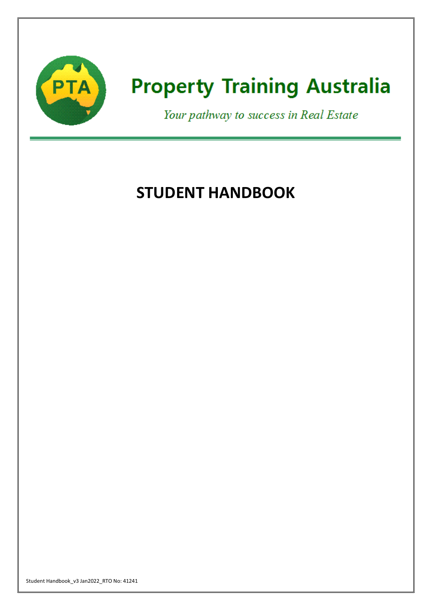

# **Property Training Australia**

Your pathway to success in Real Estate

# **STUDENT HANDBOOK**

Student Handbook\_v3 Jan2022\_RTO No: 41241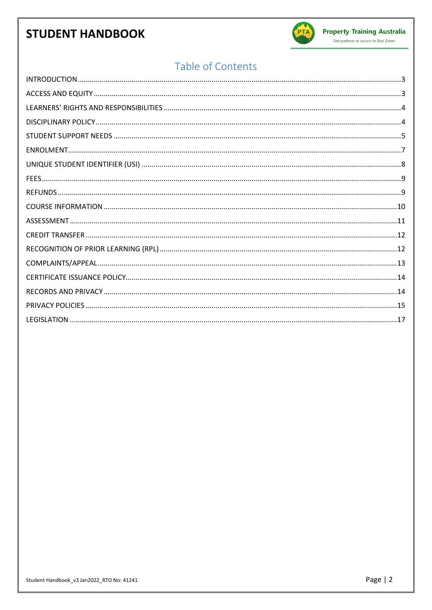

#### Your pathway to success in Real Estate

# Table of Contents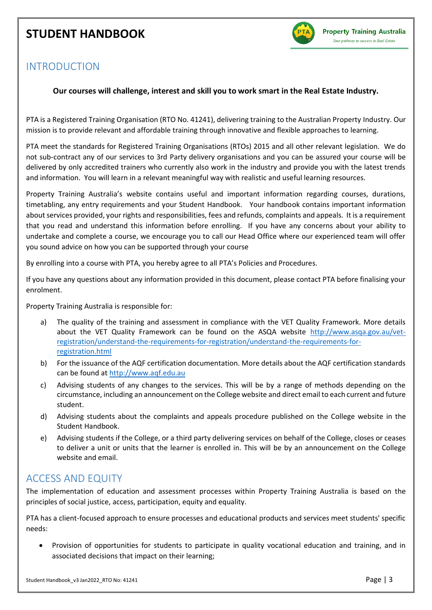

### <span id="page-2-0"></span>INTRODUCTION

#### **Our courses will challenge, interest and skill you to work smart in the Real Estate Industry.**

PTA is a Registered Training Organisation (RTO No. 41241), delivering training to the Australian Property Industry. Our mission is to provide relevant and affordable training through innovative and flexible approaches to learning.

PTA meet the standards for Registered Training Organisations (RTOs) 2015 and all other relevant legislation. We do not sub-contract any of our services to 3rd Party delivery organisations and you can be assured your course will be delivered by only accredited trainers who currently also work in the industry and provide you with the latest trends and information. You will learn in a relevant meaningful way with realistic and useful learning resources.

Property Training Australia's website contains useful and important information regarding courses, durations, timetabling, any entry requirements and your Student Handbook. Your handbook contains important information about services provided, your rights and responsibilities, fees and refunds, complaints and appeals. It is a requirement that you read and understand this information before enrolling. If you have any concerns about your ability to undertake and complete a course, we encourage you to call our Head Office where our experienced team will offer you sound advice on how you can be supported through your course

By enrolling into a course with PTA, you hereby agree to all PTA's Policies and Procedures.

If you have any questions about any information provided in this document, please contact PTA before finalising your enrolment.

Property Training Australia is responsible for:

- a) The quality of the training and assessment in compliance with the VET Quality Framework. More details about the VET Quality Framework can be found on the ASQA website [http://www.asqa.gov.au/vet](http://www.asqa.gov.au/vet-registration/understand-the-requirements-for-registration/understand-the-requirements-for-registration.html)[registration/understand-the-requirements-for-registration/understand-the-requirements-for](http://www.asqa.gov.au/vet-registration/understand-the-requirements-for-registration/understand-the-requirements-for-registration.html)[registration.html](http://www.asqa.gov.au/vet-registration/understand-the-requirements-for-registration/understand-the-requirements-for-registration.html)
- b) For the issuance of the AQF certification documentation. More details about the AQF certification standards can be found at [http://www.aqf.edu.au](http://www.aqf.edu.au/)
- c) Advising students of any changes to the services. This will be by a range of methods depending on the circumstance, including an announcement on the College website and direct email to each current and future student.
- d) Advising students about the complaints and appeals procedure published on the College website in the Student Handbook.
- e) Advising students if the College, or a third party delivering services on behalf of the College, closes or ceases to deliver a unit or units that the learner is enrolled in. This will be by an announcement on the College website and email.

### <span id="page-2-1"></span>ACCESS AND EQUITY

The implementation of education and assessment processes within Property Training Australia is based on the principles of social justice, access, participation, equity and equality.

PTA has a client-focused approach to ensure processes and educational products and services meet students' specific needs:

• Provision of opportunities for students to participate in quality vocational education and training, and in associated decisions that impact on their learning;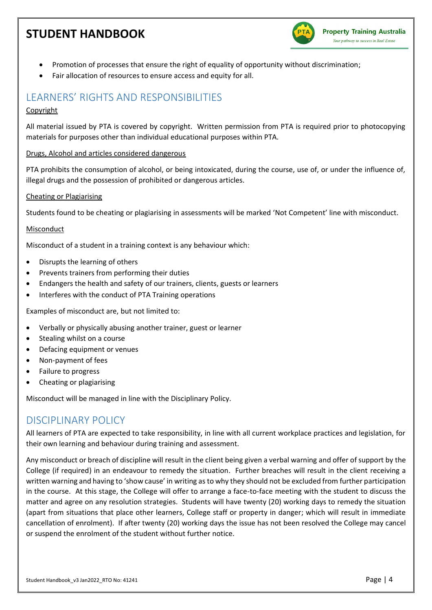

- Promotion of processes that ensure the right of equality of opportunity without discrimination;
- Fair allocation of resources to ensure access and equity for all.

### <span id="page-3-0"></span>LEARNERS' RIGHTS AND RESPONSIBILITIES

#### Copyright

All material issued by PTA is covered by copyright. Written permission from PTA is required prior to photocopying materials for purposes other than individual educational purposes within PTA.

#### Drugs, Alcohol and articles considered dangerous

PTA prohibits the consumption of alcohol, or being intoxicated, during the course, use of, or under the influence of, illegal drugs and the possession of prohibited or dangerous articles.

#### Cheating or Plagiarising

Students found to be cheating or plagiarising in assessments will be marked 'Not Competent' line with misconduct.

#### Misconduct

Misconduct of a student in a training context is any behaviour which:

- Disrupts the learning of others
- Prevents trainers from performing their duties
- Endangers the health and safety of our trainers, clients, guests or learners
- Interferes with the conduct of PTA Training operations

Examples of misconduct are, but not limited to:

- Verbally or physically abusing another trainer, guest or learner
- Stealing whilst on a course
- Defacing equipment or venues
- Non-payment of fees
- Failure to progress
- Cheating or plagiarising

Misconduct will be managed in line with the Disciplinary Policy.

### <span id="page-3-1"></span>DISCIPLINARY POLICY

All learners of PTA are expected to take responsibility, in line with all current workplace practices and legislation, for their own learning and behaviour during training and assessment.

Any misconduct or breach of discipline will result in the client being given a verbal warning and offer of support by the College (if required) in an endeavour to remedy the situation. Further breaches will result in the client receiving a written warning and having to 'show cause' in writing as to why they should not be excluded from further participation in the course. At this stage, the College will offer to arrange a face-to-face meeting with the student to discuss the matter and agree on any resolution strategies. Students will have twenty (20) working days to remedy the situation (apart from situations that place other learners, College staff or property in danger; which will result in immediate cancellation of enrolment). If after twenty (20) working days the issue has not been resolved the College may cancel or suspend the enrolment of the student without further notice.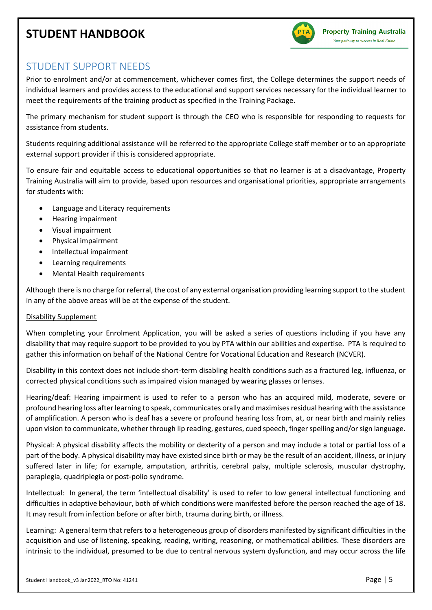

### <span id="page-4-0"></span>STUDENT SUPPORT NEEDS

Prior to enrolment and/or at commencement, whichever comes first, the College determines the support needs of individual learners and provides access to the educational and support services necessary for the individual learner to meet the requirements of the training product as specified in the Training Package.

The primary mechanism for student support is through the CEO who is responsible for responding to requests for assistance from students.

Students requiring additional assistance will be referred to the appropriate College staff member or to an appropriate external support provider if this is considered appropriate.

To ensure fair and equitable access to educational opportunities so that no learner is at a disadvantage, Property Training Australia will aim to provide, based upon resources and organisational priorities, appropriate arrangements for students with:

- Language and Literacy requirements
- Hearing impairment
- Visual impairment
- Physical impairment
- Intellectual impairment
- Learning requirements
- Mental Health requirements

Although there is no charge for referral, the cost of any external organisation providing learning support to the student in any of the above areas will be at the expense of the student.

#### Disability Supplement

When completing your Enrolment Application, you will be asked a series of questions including if you have any disability that may require support to be provided to you by PTA within our abilities and expertise. PTA is required to gather this information on behalf of the National Centre for Vocational Education and Research (NCVER).

Disability in this context does not include short-term disabling health conditions such as a fractured leg, influenza, or corrected physical conditions such as impaired vision managed by wearing glasses or lenses.

Hearing/deaf: Hearing impairment is used to refer to a person who has an acquired mild, moderate, severe or profound hearing loss after learning to speak, communicates orally and maximises residual hearing with the assistance of amplification. A person who is deaf has a severe or profound hearing loss from, at, or near birth and mainly relies upon vision to communicate, whether through lip reading, gestures, cued speech, finger spelling and/or sign language.

Physical: A physical disability affects the mobility or dexterity of a person and may include a total or partial loss of a part of the body. A physical disability may have existed since birth or may be the result of an accident, illness, or injury suffered later in life; for example, amputation, arthritis, cerebral palsy, multiple sclerosis, muscular dystrophy, paraplegia, quadriplegia or post-polio syndrome.

Intellectual: In general, the term 'intellectual disability' is used to refer to low general intellectual functioning and difficulties in adaptive behaviour, both of which conditions were manifested before the person reached the age of 18. It may result from infection before or after birth, trauma during birth, or illness.

Learning: A general term that refers to a heterogeneous group of disorders manifested by significant difficulties in the acquisition and use of listening, speaking, reading, writing, reasoning, or mathematical abilities. These disorders are intrinsic to the individual, presumed to be due to central nervous system dysfunction, and may occur across the life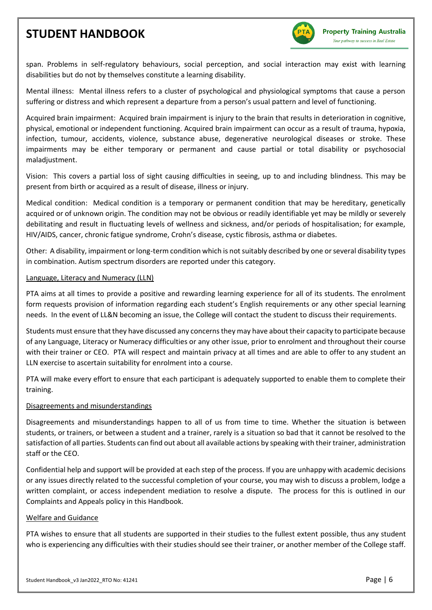

span. Problems in self-regulatory behaviours, social perception, and social interaction may exist with learning disabilities but do not by themselves constitute a learning disability.

Mental illness: Mental illness refers to a cluster of psychological and physiological symptoms that cause a person suffering or distress and which represent a departure from a person's usual pattern and level of functioning.

Acquired brain impairment: Acquired brain impairment is injury to the brain that results in deterioration in cognitive, physical, emotional or independent functioning. Acquired brain impairment can occur as a result of trauma, hypoxia, infection, tumour, accidents, violence, substance abuse, degenerative neurological diseases or stroke. These impairments may be either temporary or permanent and cause partial or total disability or psychosocial maladjustment.

Vision: This covers a partial loss of sight causing difficulties in seeing, up to and including blindness. This may be present from birth or acquired as a result of disease, illness or injury.

Medical condition: Medical condition is a temporary or permanent condition that may be hereditary, genetically acquired or of unknown origin. The condition may not be obvious or readily identifiable yet may be mildly or severely debilitating and result in fluctuating levels of wellness and sickness, and/or periods of hospitalisation; for example, HIV/AIDS, cancer, chronic fatigue syndrome, Crohn's disease, cystic fibrosis, asthma or diabetes.

Other: A disability, impairment or long-term condition which is not suitably described by one or several disability types in combination. Autism spectrum disorders are reported under this category.

#### Language, Literacy and Numeracy (LLN)

PTA aims at all times to provide a positive and rewarding learning experience for all of its students. The enrolment form requests provision of information regarding each student's English requirements or any other special learning needs. In the event of LL&N becoming an issue, the College will contact the student to discuss their requirements.

Students must ensure that they have discussed any concerns they may have about their capacity to participate because of any Language, Literacy or Numeracy difficulties or any other issue, prior to enrolment and throughout their course with their trainer or CEO. PTA will respect and maintain privacy at all times and are able to offer to any student an LLN exercise to ascertain suitability for enrolment into a course.

PTA will make every effort to ensure that each participant is adequately supported to enable them to complete their training.

#### Disagreements and misunderstandings

Disagreements and misunderstandings happen to all of us from time to time. Whether the situation is between students, or trainers, or between a student and a trainer, rarely is a situation so bad that it cannot be resolved to the satisfaction of all parties. Students can find out about all available actions by speaking with their trainer, administration staff or the CEO.

Confidential help and support will be provided at each step of the process. If you are unhappy with academic decisions or any issues directly related to the successful completion of your course, you may wish to discuss a problem, lodge a written complaint, or access independent mediation to resolve a dispute. The process for this is outlined in our Complaints and Appeals policy in this Handbook.

#### Welfare and Guidance

PTA wishes to ensure that all students are supported in their studies to the fullest extent possible, thus any student who is experiencing any difficulties with their studies should see their trainer, or another member of the College staff.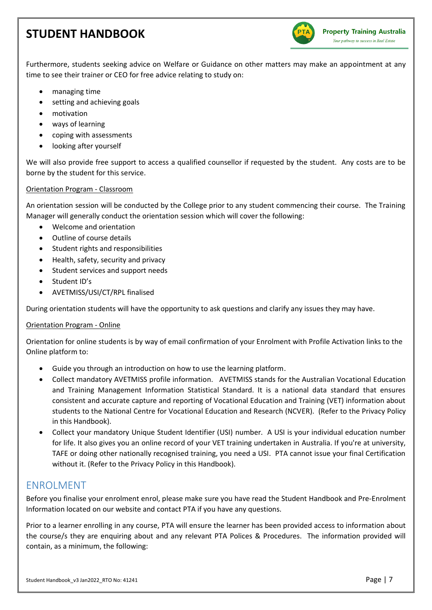

Furthermore, students seeking advice on Welfare or Guidance on other matters may make an appointment at any time to see their trainer or CEO for free advice relating to study on:

- managing time
- setting and achieving goals
- motivation
- ways of learning
- coping with assessments
- looking after yourself

We will also provide free support to access a qualified counsellor if requested by the student. Any costs are to be borne by the student for this service.

#### Orientation Program - Classroom

An orientation session will be conducted by the College prior to any student commencing their course. The Training Manager will generally conduct the orientation session which will cover the following:

- Welcome and orientation
- Outline of course details
- Student rights and responsibilities
- Health, safety, security and privacy
- Student services and support needs
- Student ID's
- AVETMISS/USI/CT/RPL finalised

During orientation students will have the opportunity to ask questions and clarify any issues they may have.

#### Orientation Program - Online

Orientation for online students is by way of email confirmation of your Enrolment with Profile Activation links to the Online platform to:

- Guide you through an introduction on how to use the learning platform.
- Collect mandatory AVETMISS profile information. AVETMISS stands for the Australian Vocational Education and Training Management Information Statistical Standard. It is a national data standard that ensures consistent and accurate capture and reporting of Vocational Education and Training (VET) information about students to the National Centre for Vocational Education and Research (NCVER). (Refer to the Privacy Policy in this Handbook).
- Collect your mandatory Unique Student Identifier (USI) number. A USI is your individual education number for life. It also gives you an online record of your VET training undertaken in Australia. If you're at university, TAFE or doing other nationally recognised training, you need a USI. PTA cannot issue your final Certification without it. (Refer to the Privacy Policy in this Handbook).

### <span id="page-6-0"></span>ENROLMENT

Before you finalise your enrolment enrol, please make sure you have read the Student Handbook and Pre-Enrolment Information located on our website and contact PTA if you have any questions.

Prior to a learner enrolling in any course, PTA will ensure the learner has been provided access to information about the course/s they are enquiring about and any relevant PTA Polices & Procedures. The information provided will contain, as a minimum, the following: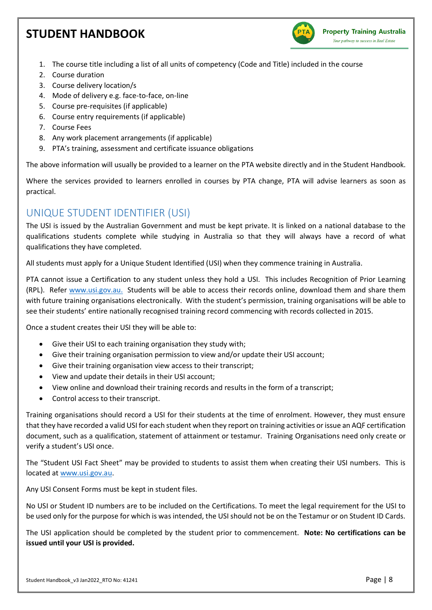

- 1. The course title including a list of all units of competency (Code and Title) included in the course
- 2. Course duration
- 3. Course delivery location/s
- 4. Mode of delivery e.g. face-to-face, on-line
- 5. Course pre-requisites (if applicable)
- 6. Course entry requirements (if applicable)
- 7. Course Fees
- 8. Any work placement arrangements (if applicable)
- 9. PTA's training, assessment and certificate issuance obligations

The above information will usually be provided to a learner on the PTA website directly and in the Student Handbook.

Where the services provided to learners enrolled in courses by PTA change, PTA will advise learners as soon as practical.

### <span id="page-7-0"></span>UNIQUE STUDENT IDENTIFIER (USI)

The USI is issued by the Australian Government and must be kept private. It is linked on a national database to the qualifications students complete while studying in Australia so that they will always have a record of what qualifications they have completed.

All students must apply for a Unique Student Identified (USI) when they commence training in Australia.

PTA cannot issue a Certification to any student unless they hold a USI. This includes Recognition of Prior Learning (RPL). Refer [www.usi.gov.au.](http://www.usi.gov.au/) Students will be able to access their records online, download them and share them with future training organisations electronically. With the student's permission, training organisations will be able to see their students' entire nationally recognised training record commencing with records collected in 2015.

Once a student creates their USI they will be able to:

- Give their USI to each training organisation they study with;
- Give their training organisation permission to view and/or update their USI account;
- Give their training organisation view access to their transcript;
- View and update their details in their USI account;
- View online and download their training records and results in the form of a transcript;
- Control access to their transcript.

Training organisations should record a USI for their students at the time of enrolment. However, they must ensure that they have recorded a valid USI for each student when they report on training activities or issue an AQF certification document, such as a qualification, statement of attainment or testamur. Training Organisations need only create or verify a student's USI once.

The "Student USI Fact Sheet" may be provided to students to assist them when creating their USI numbers. This is located at [www.usi.gov.au.](http://www.usi.gov.au/)

Any USI Consent Forms must be kept in student files.

No USI or Student ID numbers are to be included on the Certifications. To meet the legal requirement for the USI to be used only for the purpose for which is was intended, the USI should not be on the Testamur or on Student ID Cards.

The USI application should be completed by the student prior to commencement. **Note: No certifications can be issued until your USI is provided.**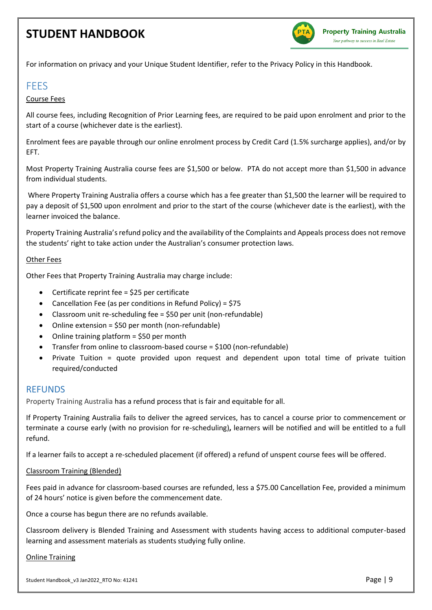

For information on privacy and your Unique Student Identifier, refer to the Privacy Policy in this Handbook.

### <span id="page-8-0"></span>FEES

#### Course Fees

All course fees, including Recognition of Prior Learning fees, are required to be paid upon enrolment and prior to the start of a course (whichever date is the earliest).

Enrolment fees are payable through our online enrolment process by Credit Card (1.5% surcharge applies), and/or by EFT.

Most Property Training Australia course fees are \$1,500 or below. PTA do not accept more than \$1,500 in advance from individual students.

Where Property Training Australia offers a course which has a fee greater than \$1,500 the learner will be required to pay a deposit of \$1,500 upon enrolment and prior to the start of the course (whichever date is the earliest), with the learner invoiced the balance.

Property Training Australia's refund policy and the availability of the Complaints and Appeals process does not remove the students' right to take action under the Australian's consumer protection laws.

#### Other Fees

Other Fees that Property Training Australia may charge include:

- Certificate reprint fee = \$25 per certificate
- Cancellation Fee (as per conditions in Refund Policy) = \$75
- Classroom unit re-scheduling fee = \$50 per unit (non-refundable)
- Online extension = \$50 per month (non-refundable)
- Online training platform = \$50 per month
- Transfer from online to classroom-based course = \$100 (non-refundable)
- Private Tuition = quote provided upon request and dependent upon total time of private tuition required/conducted

#### <span id="page-8-1"></span>REFUNDS

Property Training Australia has a refund process that is fair and equitable for all.

If Property Training Australia fails to deliver the agreed services, has to cancel a course prior to commencement or terminate a course early (with no provision for re-scheduling)**,** learners will be notified and will be entitled to a full refund.

If a learner fails to accept a re-scheduled placement (if offered) a refund of unspent course fees will be offered.

#### Classroom Training (Blended)

Fees paid in advance for classroom-based courses are refunded, less a \$75.00 Cancellation Fee, provided a minimum of 24 hours' notice is given before the commencement date.

Once a course has begun there are no refunds available.

Classroom delivery is Blended Training and Assessment with students having access to additional computer-based learning and assessment materials as students studying fully online.

#### Online Training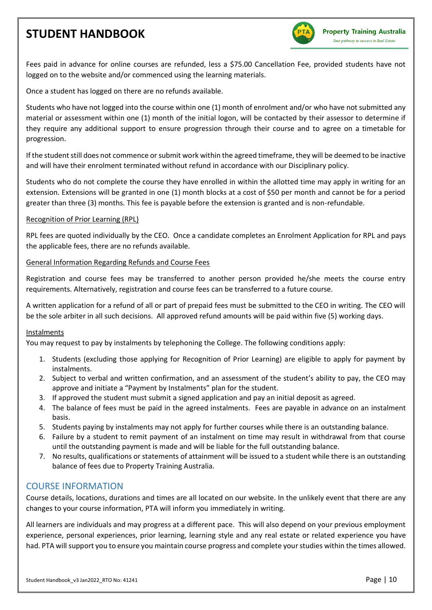

Fees paid in advance for online courses are refunded, less a \$75.00 Cancellation Fee, provided students have not logged on to the website and/or commenced using the learning materials.

Once a student has logged on there are no refunds available.

Students who have not logged into the course within one (1) month of enrolment and/or who have not submitted any material or assessment within one (1) month of the initial logon, will be contacted by their assessor to determine if they require any additional support to ensure progression through their course and to agree on a timetable for progression.

If the student still does not commence or submit work within the agreed timeframe, they will be deemed to be inactive and will have their enrolment terminated without refund in accordance with our Disciplinary policy.

Students who do not complete the course they have enrolled in within the allotted time may apply in writing for an extension. Extensions will be granted in one (1) month blocks at a cost of \$50 per month and cannot be for a period greater than three (3) months. This fee is payable before the extension is granted and is non-refundable.

#### Recognition of Prior Learning (RPL)

RPL fees are quoted individually by the CEO. Once a candidate completes an Enrolment Application for RPL and pays the applicable fees, there are no refunds available.

#### General Information Regarding Refunds and Course Fees

Registration and course fees may be transferred to another person provided he/she meets the course entry requirements. Alternatively, registration and course fees can be transferred to a future course.

A written application for a refund of all or part of prepaid fees must be submitted to the CEO in writing. The CEO will be the sole arbiter in all such decisions. All approved refund amounts will be paid within five (5) working days.

#### Instalments

You may request to pay by instalments by telephoning the College. The following conditions apply:

- 1. Students (excluding those applying for Recognition of Prior Learning) are eligible to apply for payment by instalments.
- 2. Subject to verbal and written confirmation, and an assessment of the student's ability to pay, the CEO may approve and initiate a "Payment by Instalments" plan for the student.
- 3. If approved the student must submit a signed application and pay an initial deposit as agreed.
- 4. The balance of fees must be paid in the agreed instalments. Fees are payable in advance on an instalment basis.
- 5. Students paying by instalments may not apply for further courses while there is an outstanding balance.
- 6. Failure by a student to remit payment of an instalment on time may result in withdrawal from that course until the outstanding payment is made and will be liable for the full outstanding balance.
- 7. No results, qualifications or statements of attainment will be issued to a student while there is an outstanding balance of fees due to Property Training Australia.

#### <span id="page-9-0"></span>COURSE INFORMATION

Course details, locations, durations and times are all located on our website. In the unlikely event that there are any changes to your course information, PTA will inform you immediately in writing.

All learners are individuals and may progress at a different pace. This will also depend on your previous employment experience, personal experiences, prior learning, learning style and any real estate or related experience you have had. PTA will support you to ensure you maintain course progress and complete your studies within the times allowed.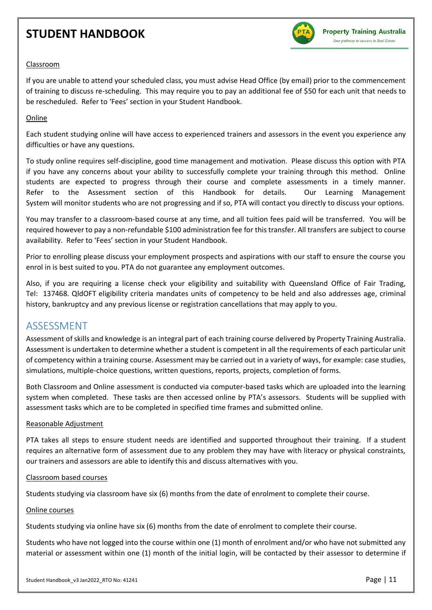

#### Classroom

If you are unable to attend your scheduled class, you must advise Head Office (by email) prior to the commencement of training to discuss re-scheduling. This may require you to pay an additional fee of \$50 for each unit that needs to be rescheduled. Refer to 'Fees' section in your Student Handbook.

#### **Online**

Each student studying online will have access to experienced trainers and assessors in the event you experience any difficulties or have any questions.

To study online requires self-discipline, good time management and motivation. Please discuss this option with PTA if you have any concerns about your ability to successfully complete your training through this method. Online students are expected to progress through their course and complete assessments in a timely manner. Refer to the Assessment section of this Handbook for details. Our Learning Management System will monitor students who are not progressing and if so, PTA will contact you directly to discuss your options.

You may transfer to a classroom-based course at any time, and all tuition fees paid will be transferred. You will be required however to pay a non-refundable \$100 administration fee for this transfer. All transfers are subject to course availability. Refer to 'Fees' section in your Student Handbook.

Prior to enrolling please discuss your employment prospects and aspirations with our staff to ensure the course you enrol in is best suited to you. PTA do not guarantee any employment outcomes.

Also, if you are requiring a license check your eligibility and suitability with Queensland Office of Fair Trading, Tel: 137468. QldOFT eligibility criteria mandates units of competency to be held and also addresses age, criminal history, bankruptcy and any previous license or registration cancellations that may apply to you.

### <span id="page-10-0"></span>ASSESSMENT

Assessment of skills and knowledge is an integral part of each training course delivered by Property Training Australia. Assessment is undertaken to determine whether a student is competent in all the requirements of each particular unit of competency within a training course. Assessment may be carried out in a variety of ways, for example: case studies, simulations, multiple-choice questions, written questions, reports, projects, completion of forms.

Both Classroom and Online assessment is conducted via computer-based tasks which are uploaded into the learning system when completed. These tasks are then accessed online by PTA's assessors. Students will be supplied with assessment tasks which are to be completed in specified time frames and submitted online.

#### Reasonable Adjustment

PTA takes all steps to ensure student needs are identified and supported throughout their training. If a student requires an alternative form of assessment due to any problem they may have with literacy or physical constraints, our trainers and assessors are able to identify this and discuss alternatives with you.

#### Classroom based courses

Students studying via classroom have six (6) months from the date of enrolment to complete their course.

#### Online courses

Students studying via online have six (6) months from the date of enrolment to complete their course.

Students who have not logged into the course within one (1) month of enrolment and/or who have not submitted any material or assessment within one (1) month of the initial login, will be contacted by their assessor to determine if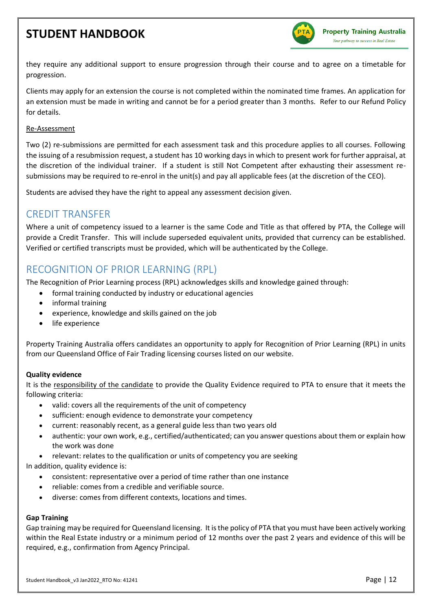

they require any additional support to ensure progression through their course and to agree on a timetable for progression.

Clients may apply for an extension the course is not completed within the nominated time frames. An application for an extension must be made in writing and cannot be for a period greater than 3 months. Refer to our Refund Policy for details.

#### Re-Assessment

Two (2) re-submissions are permitted for each assessment task and this procedure applies to all courses. Following the issuing of a resubmission request, a student has 10 working days in which to present work for further appraisal, at the discretion of the individual trainer. If a student is still Not Competent after exhausting their assessment resubmissions may be required to re-enrol in the unit(s) and pay all applicable fees (at the discretion of the CEO).

Students are advised they have the right to appeal any assessment decision given.

### <span id="page-11-0"></span>CREDIT TRANSFER

Where a unit of competency issued to a learner is the same Code and Title as that offered by PTA, the College will provide a Credit Transfer. This will include superseded equivalent units, provided that currency can be established. Verified or certified transcripts must be provided, which will be authenticated by the College.

### <span id="page-11-1"></span>RECOGNITION OF PRIOR LEARNING (RPL)

The Recognition of Prior Learning process (RPL) acknowledges skills and knowledge gained through:

- formal training conducted by industry or educational agencies
- informal training
- experience, knowledge and skills gained on the job
- life experience

Property Training Australia offers candidates an opportunity to apply for Recognition of Prior Learning (RPL) in units from our Queensland Office of Fair Trading licensing courses listed on our website.

#### **Quality evidence**

It is the responsibility of the candidate to provide the Quality Evidence required to PTA to ensure that it meets the following criteria:

- valid: covers all the requirements of the unit of competency
- sufficient: enough evidence to demonstrate your competency
- current: reasonably recent, as a general guide less than two years old
- authentic: your own work, e.g., certified/authenticated; can you answer questions about them or explain how the work was done
- relevant: relates to the qualification or units of competency you are seeking

In addition, quality evidence is:

- consistent: representative over a period of time rather than one instance
- reliable: comes from a credible and verifiable source.
- diverse: comes from different contexts, locations and times.

#### **Gap Training**

Gap training may be required for Queensland licensing. It is the policy of PTA that you must have been actively working within the Real Estate industry or a minimum period of 12 months over the past 2 years and evidence of this will be required, e.g., confirmation from Agency Principal.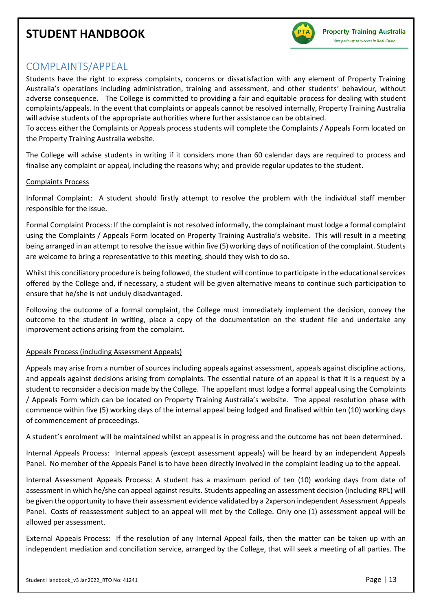

### <span id="page-12-0"></span>COMPLAINTS/APPEAL

Students have the right to express complaints, concerns or dissatisfaction with any element of Property Training Australia's operations including administration, training and assessment, and other students' behaviour, without adverse consequence. The College is committed to providing a fair and equitable process for dealing with student complaints/appeals. In the event that complaints or appeals cannot be resolved internally, Property Training Australia will advise students of the appropriate authorities where further assistance can be obtained.

To access either the Complaints or Appeals process students will complete the Complaints / Appeals Form located on the Property Training Australia website.

The College will advise students in writing if it considers more than 60 calendar days are required to process and finalise any complaint or appeal, including the reasons why; and provide regular updates to the student.

#### Complaints Process

Informal Complaint: A student should firstly attempt to resolve the problem with the individual staff member responsible for the issue.

Formal Complaint Process: If the complaint is not resolved informally, the complainant must lodge a formal complaint using the Complaints / Appeals Form located on Property Training Australia's website. This will result in a meeting being arranged in an attempt to resolve the issue within five (5) working days of notification of the complaint. Students are welcome to bring a representative to this meeting, should they wish to do so.

Whilst this conciliatory procedure is being followed, the student will continue to participate in the educational services offered by the College and, if necessary, a student will be given alternative means to continue such participation to ensure that he/she is not unduly disadvantaged.

Following the outcome of a formal complaint, the College must immediately implement the decision, convey the outcome to the student in writing, place a copy of the documentation on the student file and undertake any improvement actions arising from the complaint.

#### Appeals Process (including Assessment Appeals)

Appeals may arise from a number of sources including appeals against assessment, appeals against discipline actions, and appeals against decisions arising from complaints. The essential nature of an appeal is that it is a request by a student to reconsider a decision made by the College. The appellant must lodge a formal appeal using the Complaints / Appeals Form which can be located on Property Training Australia's website. The appeal resolution phase with commence within five (5) working days of the internal appeal being lodged and finalised within ten (10) working days of commencement of proceedings.

A student's enrolment will be maintained whilst an appeal is in progress and the outcome has not been determined.

Internal Appeals Process: Internal appeals (except assessment appeals) will be heard by an independent Appeals Panel. No member of the Appeals Panel is to have been directly involved in the complaint leading up to the appeal.

Internal Assessment Appeals Process: A student has a maximum period of ten (10) working days from date of assessment in which he/she can appeal against results. Students appealing an assessment decision (including RPL) will be given the opportunity to have their assessment evidence validated by a 2xperson independent Assessment Appeals Panel. Costs of reassessment subject to an appeal will met by the College. Only one (1) assessment appeal will be allowed per assessment.

External Appeals Process: If the resolution of any Internal Appeal fails, then the matter can be taken up with an independent mediation and conciliation service, arranged by the College, that will seek a meeting of all parties. The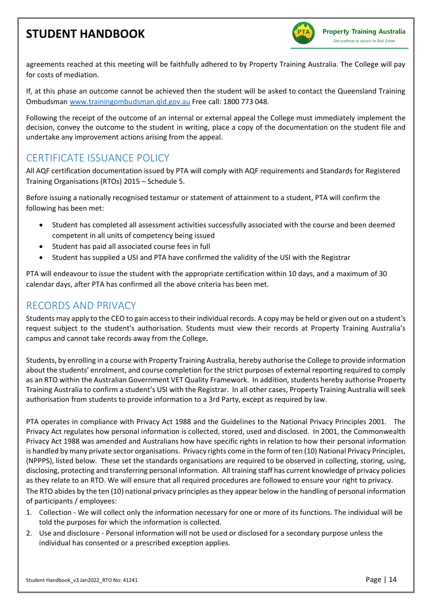

agreements reached at this meeting will be faithfully adhered to by Property Training Australia. The College will pay for costs of mediation.

If, at this phase an outcome cannot be achieved then the student will be asked to contact the Queensland Training Ombudsman [www.trainingombudsman.qld.gov.au](http://www.trainingombudsman.qld.gov.au/) Free call: 1800 773 048.

Following the receipt of the outcome of an internal or external appeal the College must immediately implement the decision, convey the outcome to the student in writing, place a copy of the documentation on the student file and undertake any improvement actions arising from the appeal.

### <span id="page-13-0"></span>CERTIFICATE ISSUANCE POLICY

All AQF certification documentation issued by PTA will comply with AQF requirements and Standards for Registered Training Organisations (RTOs) 2015 – Schedule 5.

Before issuing a nationally recognised testamur or statement of attainment to a student, PTA will confirm the following has been met:

- Student has completed all assessment activities successfully associated with the course and been deemed competent in all units of competency being issued
- Student has paid all associated course fees in full
- Student has supplied a USI and PTA have confirmed the validity of the USI with the Registrar

PTA will endeavour to issue the student with the appropriate certification within 10 days, and a maximum of 30 calendar days, after PTA has confirmed all the above criteria has been met.

### <span id="page-13-1"></span>RECORDS AND PRIVACY

Students may apply to the CEO to gain access to their individual records. A copy may be held or given out on a student's request subject to the student's authorisation. Students must view their records at Property Training Australia's campus and cannot take records away from the College.

Students, by enrolling in a course with Property Training Australia, hereby authorise the College to provide information about the students' enrolment, and course completion for the strict purposes of external reporting required to comply as an RTO within the Australian Government VET Quality Framework. In addition, students hereby authorise Property Training Australia to confirm a student's USI with the Registrar. In all other cases, Property Training Australia will seek authorisation from students to provide information to a 3rd Party, except as required by law.

PTA operates in compliance with Privacy Act 1988 and the Guidelines to the National Privacy Principles 2001. The Privacy Act regulates how personal information is collected, stored, used and disclosed. In 2001, the Commonwealth Privacy Act 1988 was amended and Australians how have specific rights in relation to how their personal information is handled by many private sector organisations. Privacy rights come in the form of ten (10) National Privacy Principles, (NPPPS), listed below. These set the standards organisations are required to be observed in collecting, storing, using, disclosing, protecting and transferring personal information. All training staff has current knowledge of privacy policies as they relate to an RTO. We will ensure that all required procedures are followed to ensure your right to privacy. The RTO abides by the ten (10) national privacy principles as they appear below in the handling of personal information of participants / employees:

- 1. Collection We will collect only the information necessary for one or more of its functions. The individual will be told the purposes for which the information is collected.
- 2. Use and disclosure Personal information will not be used or disclosed for a secondary purpose unless the individual has consented or a prescribed exception applies.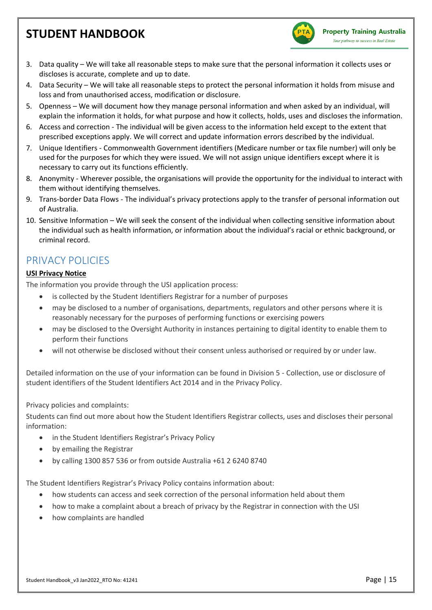

- 3. Data quality We will take all reasonable steps to make sure that the personal information it collects uses or discloses is accurate, complete and up to date.
- 4. Data Security We will take all reasonable steps to protect the personal information it holds from misuse and loss and from unauthorised access, modification or disclosure.
- 5. Openness We will document how they manage personal information and when asked by an individual, will explain the information it holds, for what purpose and how it collects, holds, uses and discloses the information.
- 6. Access and correction The individual will be given access to the information held except to the extent that prescribed exceptions apply. We will correct and update information errors described by the individual.
- 7. Unique Identifiers Commonwealth Government identifiers (Medicare number or tax file number) will only be used for the purposes for which they were issued. We will not assign unique identifiers except where it is necessary to carry out its functions efficiently.
- 8. Anonymity Wherever possible, the organisations will provide the opportunity for the individual to interact with them without identifying themselves.
- 9. Trans-border Data Flows The individual's privacy protections apply to the transfer of personal information out of Australia.
- 10. Sensitive Information We will seek the consent of the individual when collecting sensitive information about the individual such as health information, or information about the individual's racial or ethnic background, or criminal record.

### <span id="page-14-0"></span>PRIVACY POLICIES

#### **USI Privacy Notice**

The information you provide through the USI application process:

- is collected by the Student Identifiers Registrar for a number of purposes
- may be disclosed to a number of organisations, departments, regulators and other persons where it is reasonably necessary for the purposes of performing functions or exercising powers
- may be disclosed to the Oversight Authority in instances pertaining to digital identity to enable them to perform their functions
- will not otherwise be disclosed without their consent unless authorised or required by or under law.

Detailed information on the use of your information can be found in Division 5 - Collection, use or disclosure of student identifiers of the Student Identifiers Act 2014 and in the Privacy Policy.

Privacy policies and complaints:

Students can find out more about how the Student Identifiers Registrar collects, uses and discloses their personal information:

- in the Student Identifiers Registrar's Privacy Policy
- by emailing the Registrar
- by calling 1300 857 536 or from outside Australia +61 2 6240 8740

The Student Identifiers Registrar's Privacy Policy contains information about:

- how students can access and seek correction of the personal information held about them
- how to make a complaint about a breach of privacy by the Registrar in connection with the USI
- how complaints are handled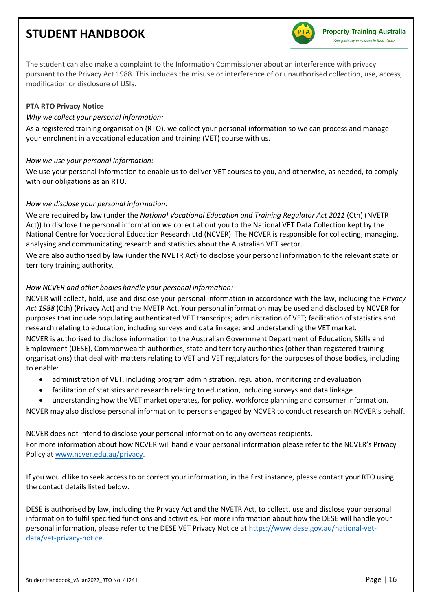

The student can also make a complaint to the Information Commissioner about an interference with privacy pursuant to the Privacy Act 1988. This includes the misuse or interference of or unauthorised collection, use, access, modification or disclosure of USIs.

#### **PTA RTO Privacy Notice**

#### *Why we collect your personal information:*

As a registered training organisation (RTO), we collect your personal information so we can process and manage your enrolment in a vocational education and training (VET) course with us.

#### *How we use your personal information:*

We use your personal information to enable us to deliver VET courses to you, and otherwise, as needed, to comply with our obligations as an RTO.

#### *How we disclose your personal information:*

We are required by law (under the *National Vocational Education and Training Regulator Act 2011* (Cth) (NVETR Act)) to disclose the personal information we collect about you to the National VET Data Collection kept by the National Centre for Vocational Education Research Ltd (NCVER). The NCVER is responsible for collecting, managing, analysing and communicating research and statistics about the Australian VET sector.

We are also authorised by law (under the NVETR Act) to disclose your personal information to the relevant state or territory training authority.

#### *How NCVER and other bodies handle your personal information:*

NCVER will collect, hold, use and disclose your personal information in accordance with the law, including the *Privacy Act 1988* (Cth) (Privacy Act) and the NVETR Act. Your personal information may be used and disclosed by NCVER for purposes that include populating authenticated VET transcripts; administration of VET; facilitation of statistics and research relating to education, including surveys and data linkage; and understanding the VET market.

NCVER is authorised to disclose information to the Australian Government Department of Education, Skills and Employment (DESE), Commonwealth authorities, state and territory authorities (other than registered training organisations) that deal with matters relating to VET and VET regulators for the purposes of those bodies, including to enable:

- administration of VET, including program administration, regulation, monitoring and evaluation
- facilitation of statistics and research relating to education, including surveys and data linkage
- understanding how the VET market operates, for policy, workforce planning and consumer information.

NCVER may also disclose personal information to persons engaged by NCVER to conduct research on NCVER's behalf.

NCVER does not intend to disclose your personal information to any overseas recipients.

For more information about how NCVER will handle your personal information please refer to the NCVER's Privacy Policy at [www.ncver.edu.au/privacy.](http://www.ncver.edu.au/privacy)

If you would like to seek access to or correct your information, in the first instance, please contact your RTO using the contact details listed below.

DESE is authorised by law, including the Privacy Act and the NVETR Act, to collect, use and disclose your personal information to fulfil specified functions and activities. For more information about how the DESE will handle your personal information, please refer to the DESE VET Privacy Notice at [https://www.dese.gov.au/national-vet](https://www.dese.gov.au/national-vet-data/vet-privacy-notice)[data/vet-privacy-notice.](https://www.dese.gov.au/national-vet-data/vet-privacy-notice)